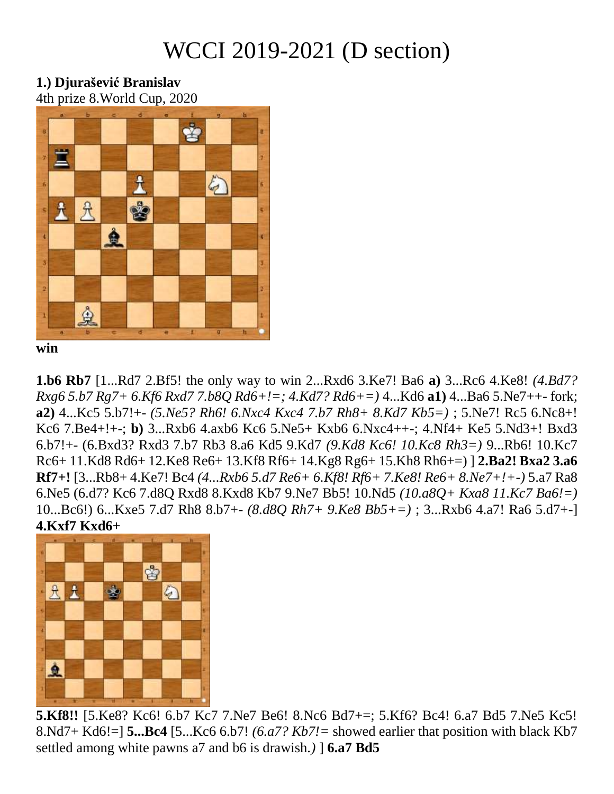# WCCI 2019-2021 (D section)

#### **1.) Djurašević Branislav** 4th prize 8.World Cup, 2020



**win**

**1.b6 Rb7** [1...Rd7 2.Bf5! the only way to win 2...Rxd6 3.Ke7! Ba6 **a)** 3...Rc6 4.Ke8! *(4.Bd7? Rxg6 5.b7 Rg7+ 6.Kf6 Rxd7 7.b8Q Rd6+!=; 4.Kd7? Rd6+=)* 4...Kd6 **a1)** 4...Ba6 5.Ne7++- fork; **a2)** 4...Kc5 5.b7!+- *(5.Ne5? Rh6! 6.Nxc4 Kxc4 7.b7 Rh8+ 8.Kd7 Kb5=)* ; 5.Ne7! Rc5 6.Nc8+! Kc6 7.Be4+!+-; **b)** 3...Rxb6 4.axb6 Kc6 5.Ne5+ Kxb6 6.Nxc4++-; 4.Nf4+ Ke5 5.Nd3+! Bxd3 6.b7!+- (6.Bxd3? Rxd3 7.b7 Rb3 8.a6 Kd5 9.Kd7 *(9.Kd8 Kc6! 10.Kc8 Rh3=)* 9...Rb6! 10.Kc7 Rc6+ 11.Kd8 Rd6+ 12.Ke8 Re6+ 13.Kf8 Rf6+ 14.Kg8 Rg6+ 15.Kh8 Rh6+=) ] **2.Ba2! Bxa2 3.a6 Rf7+!** [3...Rb8+ 4.Ke7! Bc4 *(4...Rxb6 5.d7 Re6+ 6.Kf8! Rf6+ 7.Ke8! Re6+ 8.Ne7+!+-)* 5.a7 Ra8 6.Ne5 (6.d7? Kc6 7.d8Q Rxd8 8.Kxd8 Kb7 9.Ne7 Bb5! 10.Nd5 *(10.a8Q+ Kxa8 11.Kc7 Ba6!=)*  10...Bc6!) 6...Kxe5 7.d7 Rh8 8.b7+- *(8.d8Q Rh7+ 9.Ke8 Bb5+=)* ; 3...Rxb6 4.a7! Ra6 5.d7+-] **4.Kxf7 Kxd6+** 



**5.Kf8!!** [5.Ke8? Kc6! 6.b7 Kc7 7.Ne7 Be6! 8.Nc6 Bd7+=; 5.Kf6? Bc4! 6.a7 Bd5 7.Ne5 Kc5! 8.Nd7+ Kd6!=] **5...Bc4** [5...Kc6 6.b7! *(6.a7? Kb7!=* showed earlier that position with black Kb7 settled among white pawns a7 and b6 is drawish.*)* ] **6.a7 Bd5**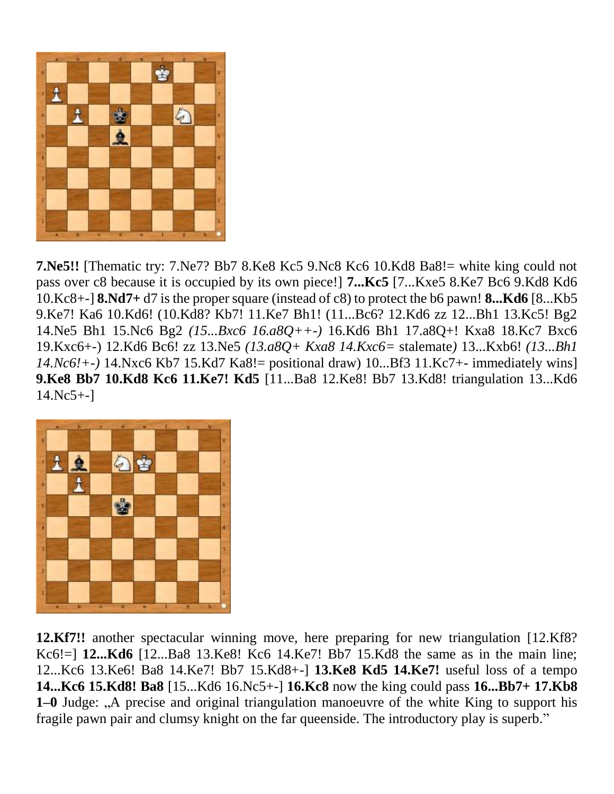

**7.Ne5!!** [Thematic try: 7.Ne7? Bb7 8.Ke8 Kc5 9.Nc8 Kc6 10.Kd8 Ba8!= white king could not pass over c8 because it is occupied by its own piece!] **7...Kc5** [7...Kxe5 8.Ke7 Bc6 9.Kd8 Kd6 10.Kc8+-] **8.Nd7+** d7 is the proper square (instead of c8) to protect the b6 pawn! **8...Kd6** [8...Kb5 9.Ke7! Ka6 10.Kd6! (10.Kd8? Kb7! 11.Ke7 Bh1! (11...Bc6? 12.Kd6 zz 12...Bh1 13.Kc5! Bg2 14.Ne5 Bh1 15.Nc6 Bg2 *(15...Bxc6 16.a8Q++-)* 16.Kd6 Bh1 17.a8Q+! Kxa8 18.Kc7 Bxc6 19.Kxc6+-) 12.Kd6 Bc6! zz 13.Ne5 *(13.a8Q+ Kxa8 14.Kxc6=* stalemate*)* 13...Kxb6! *(13...Bh1 14.Nc6!+-)* 14.Nxc6 Kb7 15.Kd7 Ka8!= positional draw) 10...Bf3 11.Kc7+- immediately wins] **9.Ke8 Bb7 10.Kd8 Kc6 11.Ke7! Kd5** [11...Ba8 12.Ke8! Bb7 13.Kd8! triangulation 13...Kd6 14.Nc5+-]



**12.Kf7!!** another spectacular winning move, here preparing for new triangulation [12.Kf8? Kc6!=] **12...Kd6** [12...Ba8 13.Ke8! Kc6 14.Ke7! Bb7 15.Kd8 the same as in the main line; 12...Kc6 13.Ke6! Ba8 14.Ke7! Bb7 15.Kd8+-] **13.Ke8 Kd5 14.Ke7!** useful loss of a tempo **14...Kc6 15.Kd8! Ba8** [15...Kd6 16.Nc5+-] **16.Kc8** now the king could pass **16...Bb7+ 17.Kb8 1–0** Judge: "A precise and original triangulation manoeuvre of the white King to support his fragile pawn pair and clumsy knight on the far queenside. The introductory play is superb."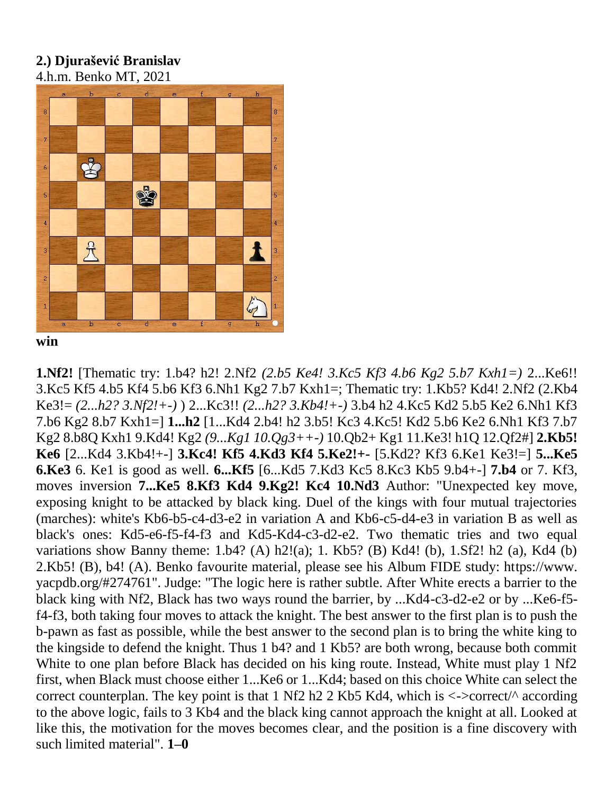#### **2.) Djurašević Branislav** 4.h.m. Benko MT, 2021



**win**

**1.Nf2!** [Thematic try: 1.b4? h2! 2.Nf2 *(2.b5 Ke4! 3.Kc5 Kf3 4.b6 Kg2 5.b7 Kxh1=)* 2...Ke6!! 3.Kc5 Kf5 4.b5 Kf4 5.b6 Kf3 6.Nh1 Kg2 7.b7 Kxh1=; Thematic try: 1.Kb5? Kd4! 2.Nf2 (2.Kb4 Ke3!= *(2...h2? 3.Nf2!+-)* ) 2...Kc3!! *(2...h2? 3.Kb4!+-)* 3.b4 h2 4.Kc5 Kd2 5.b5 Ke2 6.Nh1 Kf3 7.b6 Kg2 8.b7 Kxh1=] **1...h2** [1...Kd4 2.b4! h2 3.b5! Kc3 4.Kc5! Kd2 5.b6 Ke2 6.Nh1 Kf3 7.b7 Kg2 8.b8Q Kxh1 9.Kd4! Kg2 *(9...Kg1 10.Qg3++-)* 10.Qb2+ Kg1 11.Ke3! h1Q 12.Qf2#] **2.Kb5! Ke6** [2...Kd4 3.Kb4!+-] **3.Kc4! Kf5 4.Kd3 Kf4 5.Ke2!+-** [5.Kd2? Kf3 6.Ke1 Ke3!=] **5...Ke5 6.Ke3** 6. Ke1 is good as well. **6...Kf5** [6...Kd5 7.Kd3 Kc5 8.Kc3 Kb5 9.b4+-] **7.b4** or 7. Kf3, moves inversion **7...Ke5 8.Kf3 Kd4 9.Kg2! Kc4 10.Nd3** Author: "Unexpected key move, exposing knight to be attacked by black king. Duel of the kings with four mutual trajectories (marches): white's Kb6-b5-c4-d3-e2 in variation A and Kb6-c5-d4-e3 in variation B as well as black's ones: Kd5-e6-f5-f4-f3 and Kd5-Kd4-c3-d2-e2. Two thematic tries and two equal variations show Banny theme:  $1.b4$ ? (A)  $h2!$ (a);  $1.$  Kb5? (B) Kd4! (b),  $1.Sf2!$  h2 (a), Kd4 (b) 2.Kb5! (B), b4! (A). Benko favourite material, please see his Album FIDE study: https://www. yacpdb.org/#274761". Judge: "The logic here is rather subtle. After White erects a barrier to the black king with Nf2, Black has two ways round the barrier, by ...Kd4-c3-d2-e2 or by ...Ke6-f5 f4-f3, both taking four moves to attack the knight. The best answer to the first plan is to push the b-pawn as fast as possible, while the best answer to the second plan is to bring the white king to the kingside to defend the knight. Thus 1 b4? and 1 Kb5? are both wrong, because both commit White to one plan before Black has decided on his king route. Instead, White must play 1 Nf2 first, when Black must choose either 1...Ke6 or 1...Kd4; based on this choice White can select the correct counterplan. The key point is that 1 Nf2 h2 2 Kb5 Kd4, which is  $\lt$ - $\gt$ correct/ $\land$  according to the above logic, fails to 3 Kb4 and the black king cannot approach the knight at all. Looked at like this, the motivation for the moves becomes clear, and the position is a fine discovery with such limited material". **1–0**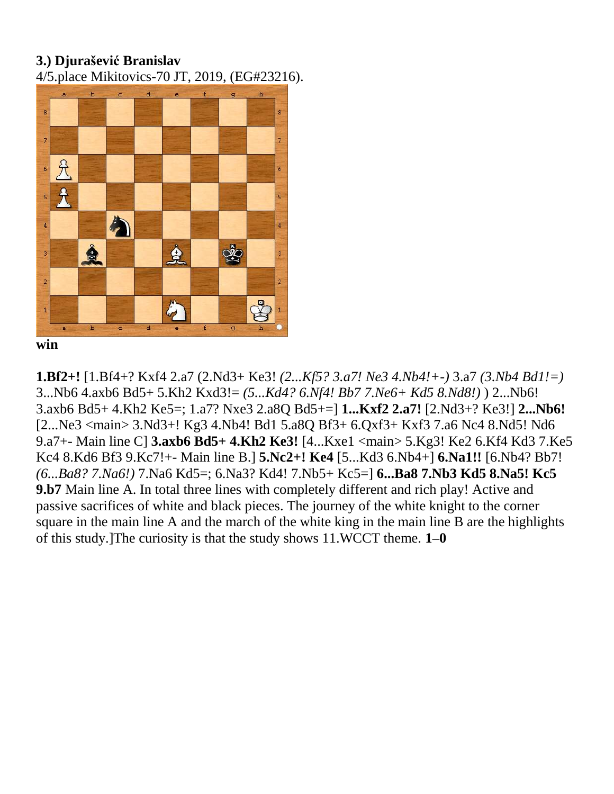4/5.place Mikitovics-70 JT, 2019, (EG#23216).



**win**

**1.Bf2+!** [1.Bf4+? Kxf4 2.a7 (2.Nd3+ Ke3! *(2...Kf5? 3.a7! Ne3 4.Nb4!+-)* 3.a7 *(3.Nb4 Bd1!=)*  3...Nb6 4.axb6 Bd5+ 5.Kh2 Kxd3!= *(5...Kd4? 6.Nf4! Bb7 7.Ne6+ Kd5 8.Nd8!)* ) 2...Nb6! 3.axb6 Bd5+ 4.Kh2 Ke5=; 1.a7? Nxe3 2.a8Q Bd5+=] **1...Kxf2 2.a7!** [2.Nd3+? Ke3!] **2...Nb6!**  [2...Ne3 <main> 3.Nd3+! Kg3 4.Nb4! Bd1 5.a8Q Bf3+ 6.Qxf3+ Kxf3 7.a6 Nc4 8.Nd5! Nd6 9.a7+- Main line C] **3.axb6 Bd5+ 4.Kh2 Ke3!** [4...Kxe1 <main> 5.Kg3! Ke2 6.Kf4 Kd3 7.Ke5 Kc4 8.Kd6 Bf3 9.Kc7!+- Main line B.] **5.Nc2+! Ke4** [5...Kd3 6.Nb4+] **6.Na1!!** [6.Nb4? Bb7! *(6...Ba8? 7.Na6!)* 7.Na6 Kd5=; 6.Na3? Kd4! 7.Nb5+ Kc5=] **6...Ba8 7.Nb3 Kd5 8.Na5! Kc5 9.b7** Main line A. In total three lines with completely different and rich play! Active and passive sacrifices of white and black pieces. The journey of the white knight to the corner square in the main line A and the march of the white king in the main line B are the highlights of this study.]The curiosity is that the study shows 11.WCCT theme. **1–0**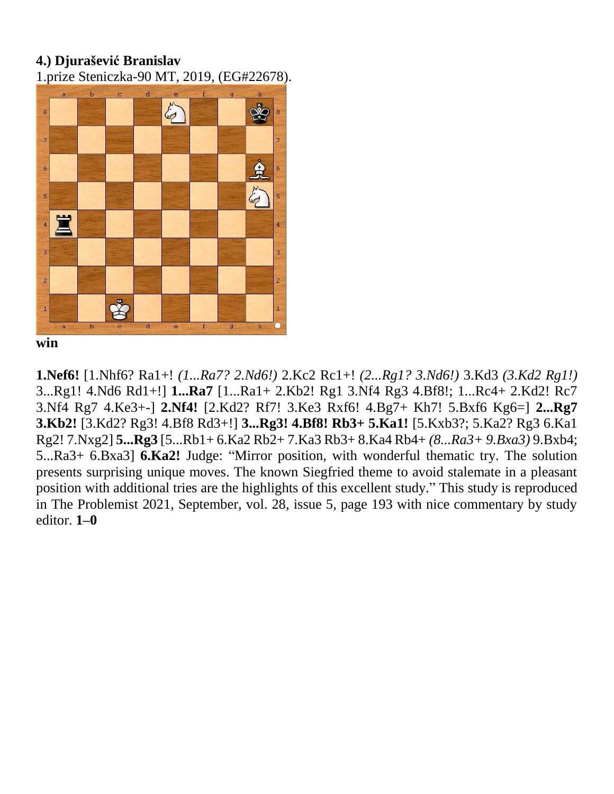1.prize Steniczka-90 MT, 2019, (EG#22678).



**win**

**1.Nef6!** [1.Nhf6? Ra1+! *(1...Ra7? 2.Nd6!)* 2.Kc2 Rc1+! *(2...Rg1? 3.Nd6!)* 3.Kd3 *(3.Kd2 Rg1!)*  3...Rg1! 4.Nd6 Rd1+!] **1...Ra7** [1...Ra1+ 2.Kb2! Rg1 3.Nf4 Rg3 4.Bf8!; 1...Rc4+ 2.Kd2! Rc7 3.Nf4 Rg7 4.Ke3+-] **2.Nf4!** [2.Kd2? Rf7! 3.Ke3 Rxf6! 4.Bg7+ Kh7! 5.Bxf6 Kg6=] **2...Rg7 3.Kb2!** [3.Kd2? Rg3! 4.Bf8 Rd3+!] **3...Rg3! 4.Bf8! Rb3+ 5.Ka1!** [5.Kxb3?; 5.Ka2? Rg3 6.Ka1 Rg2! 7.Nxg2] **5...Rg3** [5...Rb1+ 6.Ka2 Rb2+ 7.Ka3 Rb3+ 8.Ka4 Rb4+ *(8...Ra3+ 9.Bxa3)* 9.Bxb4; 5...Ra3+ 6.Bxa3] **6.Ka2!** Judge: "Mirror position, with wonderful thematic try. The solution presents surprising unique moves. The known Siegfried theme to avoid stalemate in a pleasant position with additional tries are the highlights of this excellent study." This study is reproduced in The Problemist 2021, September, vol. 28, issue 5, page 193 with nice commentary by study editor. **1–0**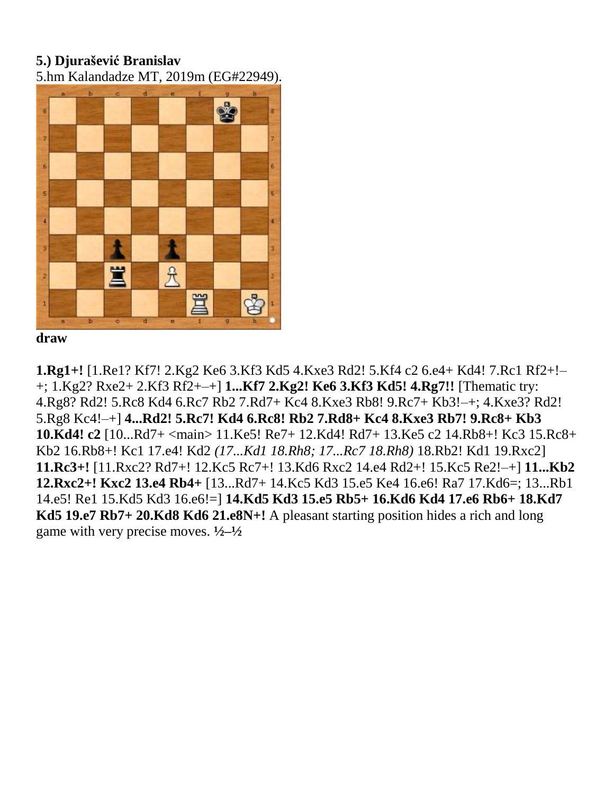5.hm Kalandadze MT, 2019m (EG#22949).



**draw**

**1.Rg1+!** [1.Re1? Kf7! 2.Kg2 Ke6 3.Kf3 Kd5 4.Kxe3 Rd2! 5.Kf4 c2 6.e4+ Kd4! 7.Rc1 Rf2+!– +; 1.Kg2? Rxe2+ 2.Kf3 Rf2+–+] **1...Kf7 2.Kg2! Ke6 3.Kf3 Kd5! 4.Rg7!!** [Thematic try: 4.Rg8? Rd2! 5.Rc8 Kd4 6.Rc7 Rb2 7.Rd7+ Kc4 8.Kxe3 Rb8! 9.Rc7+ Kb3!–+; 4.Kxe3? Rd2! 5.Rg8 Kc4!–+] **4...Rd2! 5.Rc7! Kd4 6.Rc8! Rb2 7.Rd8+ Kc4 8.Kxe3 Rb7! 9.Rc8+ Kb3 10.Kd4! c2** [10...Rd7+ <main> 11.Ke5! Re7+ 12.Kd4! Rd7+ 13.Ke5 c2 14.Rb8+! Kc3 15.Rc8+ Kb2 16.Rb8+! Kc1 17.e4! Kd2 *(17...Kd1 18.Rh8; 17...Rc7 18.Rh8)* 18.Rb2! Kd1 19.Rxc2] **11.Rc3+!** [11.Rxc2? Rd7+! 12.Kc5 Rc7+! 13.Kd6 Rxc2 14.e4 Rd2+! 15.Kc5 Re2!–+] **11...Kb2 12.Rxc2+! Kxc2 13.e4 Rb4+** [13...Rd7+ 14.Kc5 Kd3 15.e5 Ke4 16.e6! Ra7 17.Kd6=; 13...Rb1 14.e5! Re1 15.Kd5 Kd3 16.e6!=] **14.Kd5 Kd3 15.e5 Rb5+ 16.Kd6 Kd4 17.e6 Rb6+ 18.Kd7 Kd5 19.e7 Rb7+ 20.Kd8 Kd6 21.e8N+!** A pleasant starting position hides a rich and long game with very precise moves. **½–½**